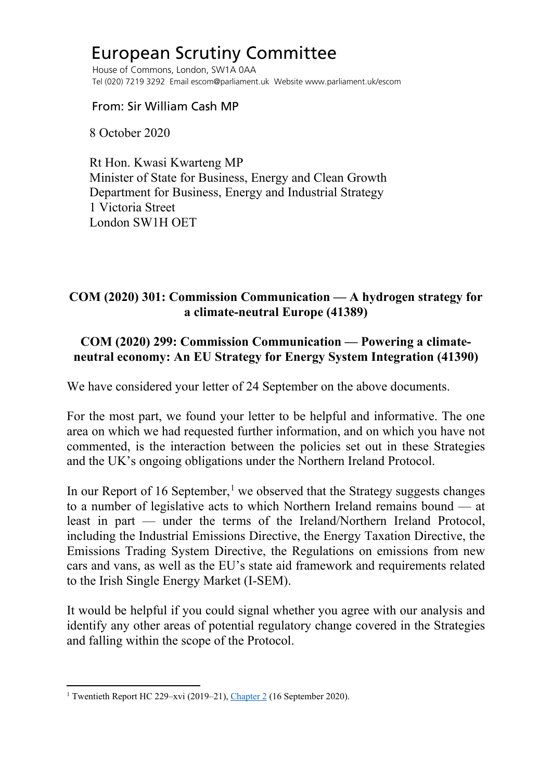## European Scrutiny Committee

 House of Commons, London, SW1A 0AA Tel (020) 7219 3292 Email escom@parliament.uk Website www.parliament.uk/escom

From: Sir William Cash MP

8 October 2020

 Rt Hon. Kwasi Kwarteng MP Minister of State for Business, Energy and Clean Growth Department for Business, Energy and Industrial Strategy 1 Victoria Street London SW1H OET

## **COM (2020) 301: Commission Communication — A hydrogen strategy for a climate-neutral Europe (41389)**

## **COM (2020) 299: Commission Communication — Powering a climateneutral economy: An EU Strategy for Energy System Integration (41390)**

We have considered your letter of 24 September on the above documents.

For the most part, we found your letter to be helpful and informative. The one area on which we had requested further information, and on which you have not commented, is the interaction between the policies set out in these Strategies and the UK's ongoing obligations under the Northern Ireland Protocol.

In our Report of [1](#page-0-0)6 September,<sup>1</sup> we observed that the Strategy suggests changes to a number of legislative acts to which Northern Ireland remains bound — at least in part — under the terms of the Ireland/Northern Ireland Protocol, including the Industrial Emissions Directive, the Energy Taxation Directive, the Emissions Trading System Directive, the Regulations on emissions from new cars and vans, as well as the EU's state aid framework and requirements related to the Irish Single Energy Market (I-SEM).

It would be helpful if you could signal whether you agree with our analysis and identify any other areas of potential regulatory change covered in the Strategies and falling within the scope of the Protocol.

<span id="page-0-0"></span><sup>1</sup> Twentieth Report HC 229–xvi (2019–21), [Chapter 2](https://publications.parliament.uk/pa/cm5801/cmselect/cmeuleg/229-xvi/22904.htm) (16 September 2020).